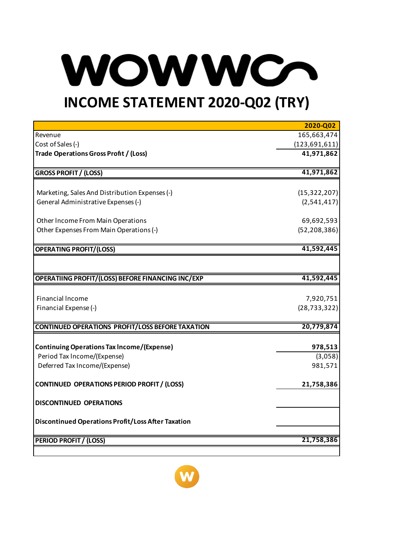## WOW WCO **INCOME STATEMENT 2020-Q02 (TRY)**

## **2020-Q02** Revenue 165,663,474 Cost of Sales (-) (123,691,611) **Trade Operations Gross Profıt / (Loss) 41,971,862 GROSS PROFIT / (LOSS) 41,971,862** Marketing, Sales And Distribution Expenses (-) (15,322,207) General Administrative Expenses (-) (2,541,417) Other Income From Main Operations 69,692,593 Other Expenses From Main Operations (-) (52,208,386) **OPERATING PROFIT/(LOSS) 41,592,445 OPERATIING PROFIT/(LOSS) BEFORE FINANCING INC/EXP 41,592,445** Financial lncome 7,920,751 Financial Expense (-) (28,733,322) **CONTINUED OPERATIONS PROFIT/LOSS BEFORE TAXATION 20,779,874 Continuing Operations Tax lncome/(Expense) 978,513** Period Tax lncome/(Expense) (3,058) Deferred Tax Income/(Expense) 981,571 **CONTINUED OPERATIONS PERIOD PROFIT / (LOSS) 21,758,386 DISCONTINUED OPERATIONS Discontinued Operations Profit/Loss After Taxation PERIOD PROFIT / (LOSS) 21,758,386**